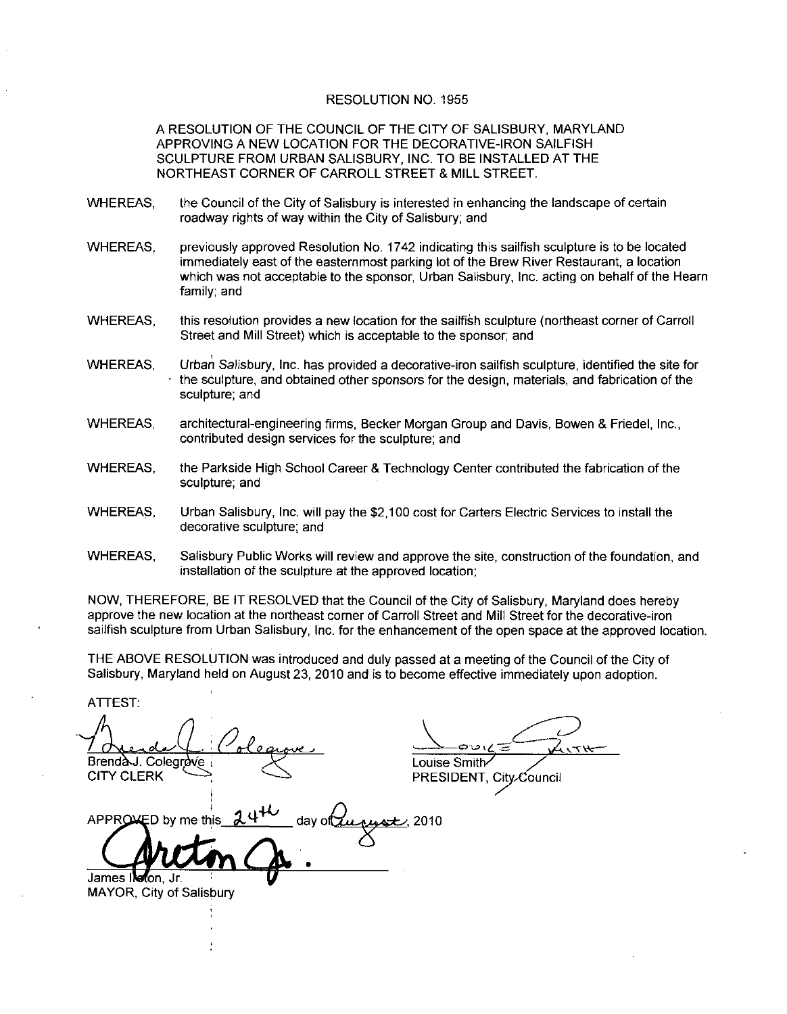## RESOLUTION NO. 1955

A RESOLUTION OF THE COUNCIL OF THE CITY OF SALISBURY MARYLAND APPROVING A NEW LOCATION FOR THE DECORATIVE-IRON SAILFISH SCULPTURE FROM URBAN SALISBURY, INC. TO BE INSTALLED AT THE NORTHEAST CORNER OF CARROLL STREET & MILL STREET.

- WHEREAS, the Council of the City of Salisbury is interested in enhancing the landscape of certain roadway rights of way within the City of Salisbury; and
- WHEREAS, previously approved Resolution No. 1742 indicating this sailfish sculpture is to be located immediately east of the easternmost parking lot of the Brew River Restaurant, a location which was not acceptable to the sponsor. Urban Salisbury, Inc. acting on behalf of the Hearn family and
- WHEREAS, this resolution provides a new location for the sailfish sculpture (northeast corner of Carroll Street and Mill Street) which is acceptable to the sponsor; and
- WHEREAS, Urban Salisbury, Inc. has provided a decorative-iron sailfish sculpture, identified the site for the sculpture, and obtained other sponsors for the design, materials, and fabrication of the sculpture; and
- WHEREAS, architectural-engineering firms, Becker Morgan Group and Davis, Bowen & Friedel, Inc., contributed design services for the sculpture; and
- sculpture; and
- WHEREAS, the Parkside High School Career & Technology Center contributed the fabrication of the<br>sculpture; and<br>WHEREAS, Urban Salisbury, Inc. will pay the \$2,100 cost for Carters Electric Services to install the<br>decorative decorative sculpture; and
- WHEREAS, Salisbury Public Works will review and approve the site, construction of the foundation, and installation of the sculpture at the approved location

NOW, THEREFORE, BE IT RESOLVED that the Council of the City of Salisbury, Maryland does hereby NOW, THEREFORE, BE IT RESOLVED that the Council of the City of Salisbury, Maryland does hereby<br>approve the new location at the northeast corner of Carroll Street and Mill Street for the decorative-iron<br>sailfish sculpture f sailfish sculpture from Urban Salisbury, Inc. for the enhancement of the open space at the approved location.

THE ABOVE RESOLUTION was introduced and duly passed at ameeting of the Council of the City of Salisbury, Maryland held on August 23, 2010 and is to become effective immediately upon adoption.

ATTEST

Brend AJ. Colegrove CITY CLERK APPROXED by me this  $24^{44}$  day of  $244$  2010

Louise Smith PRESIDENT, City-Council

James I**kat**on, Jr. MAYOR, City of Salisbury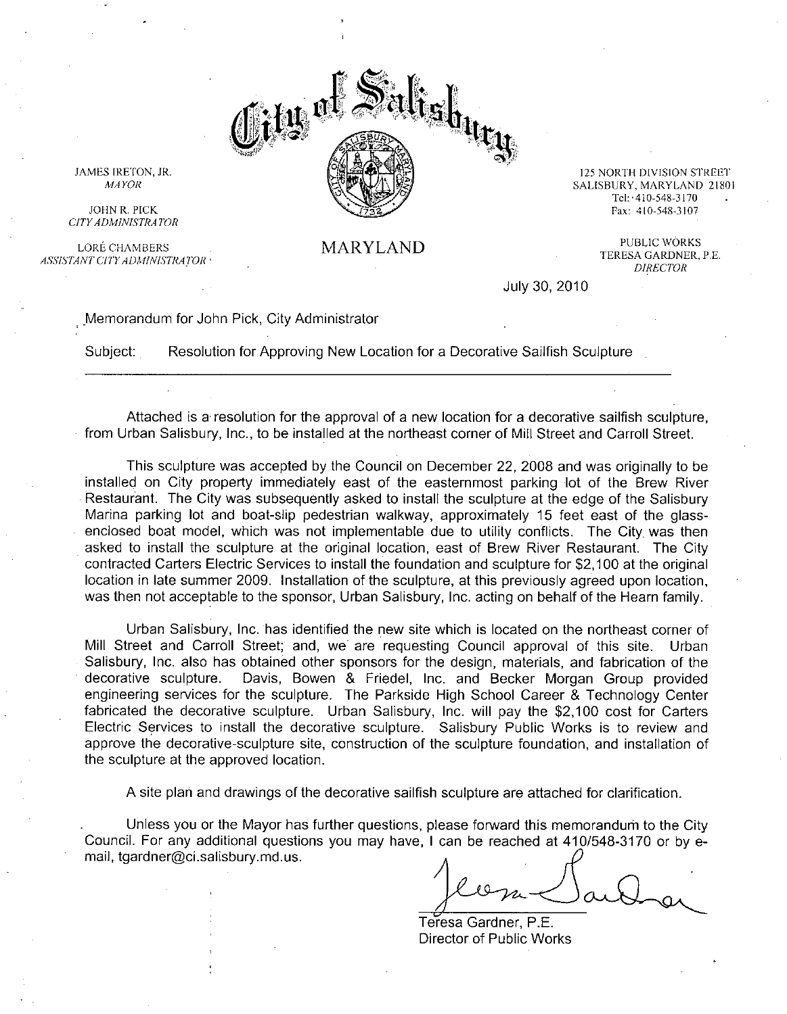

125 NORTH DIVISION STREET<br>ALISBURY, MARYLAND 21801<br>Tel: 410-548-3170<br>Fax: 410-548-3107 SALISBURY, MARYLAND 21801 125 NORTH DIVISION STREET<br>ALISBURY, MARYLAND 21801<br>Tel: · 410-548-3170 Fax: 410-548-3107

JAMES IRETON. JR. MAYOR

JOHN R. PICK CITY ADMINISTRATOR

JAMES IRETON, JR.<br>*MAYOR*<br>JOHN R. PICK<br>*CITY ADMINISTRATOR*<br>LORÉ CHAMBERS<br>*TANT CITY ADMINISTRATC* LORE CHAMBERS ASSISTANT CITY ADMINISTRATOR \*

## MARYLAND

PUBLIC WORKS TERESA GARDNER, P.E. DIRECTOR

July 30 <sup>2010</sup>

Memorandum for John Pick, City Administrator

Subject: Resolution for Approving New Location for a Decorative Sailfish Sculpture

Attached is <sup>a</sup> resolution for the approval of a new location for a decorative sailfish sculpture from Urban Salisbury, Inc., to be installed at the northeast corner of Mill Street and Carroll Street.

This sculpture was accepted by the Council on December 22, 2008 and was originally to be installed on City property immediately east of the easternmost parking lot of the Brew River Restaurant. The City was subsequently asked to install the sculpture at the edge of the Salisbury Marina parking lot and boat-slip pedestrian walkway, approximately 15 feet east of the glassenclosed boat model, which was not implementable due to utility conflicts. The City was then asked to install the sculpture at the original location, east of Brew River Restaurant. The City contracted Carters Electric Services to install the foundation and sculpture for \$2.100 at the original Marina parking lot and boat-slip pedestrian walkway, approximately 15 feet east of the glassenclosed boat model, which was not implementable due to utility conflicts. The City was then asked to install the sculpture at the location in late summer 2009. Installation of the sculpture, at this previously agreed upon location, was then not acceptable to the sponsor, Urban Salisbury, Inc. acting on behalf of the Hearn family.

Urban Salisbury, Inc. has identified the new site which is located on the northeast corner of Mill Street and Carroll Street; and, we are requesting Council approval of this site. Urban Salisbury, Inc. also has obtained other sponsors for the design, materials, and fabrication of the decorative sculpture. Davis. Bowen & Friedel. Inc. and Becker Morgan Group provided Davis, Bowen & Friedel, Inc. and Becker Morgan Group provided engineering services for the sculpture. The Parkside High School Career & Technology Center fabricated the decorative sculpture. Urban Salisbury, Inc. will pay the \$2,100 cost for Carters Electric Services to install the decorative sculpture. Salisbury Public Works is to review and approve the decorative-sculpture site, construction of the sculpture foundation, and installation of the sculpture at the approved location

A site plan and drawings of the decorative sailfish sculpture are attached for clarification

Unless you or the Mayor has further questions please forward this memorandum to the City Council. For any additional questions you may have, I can be reached at 410/548-3170 or by e-<br>mail, tgardner@ci.salisbury.md.us. Electric Services to Install the decapprove the decorative-sculpture sit<br>the sculpture at the approved locatic<br>A site plan and drawings of th<br>Unless you or the Mayor has<br>Council. For any additional question<br>mail, tgardner@

Teresa Gardner, P.E. Director of Public Works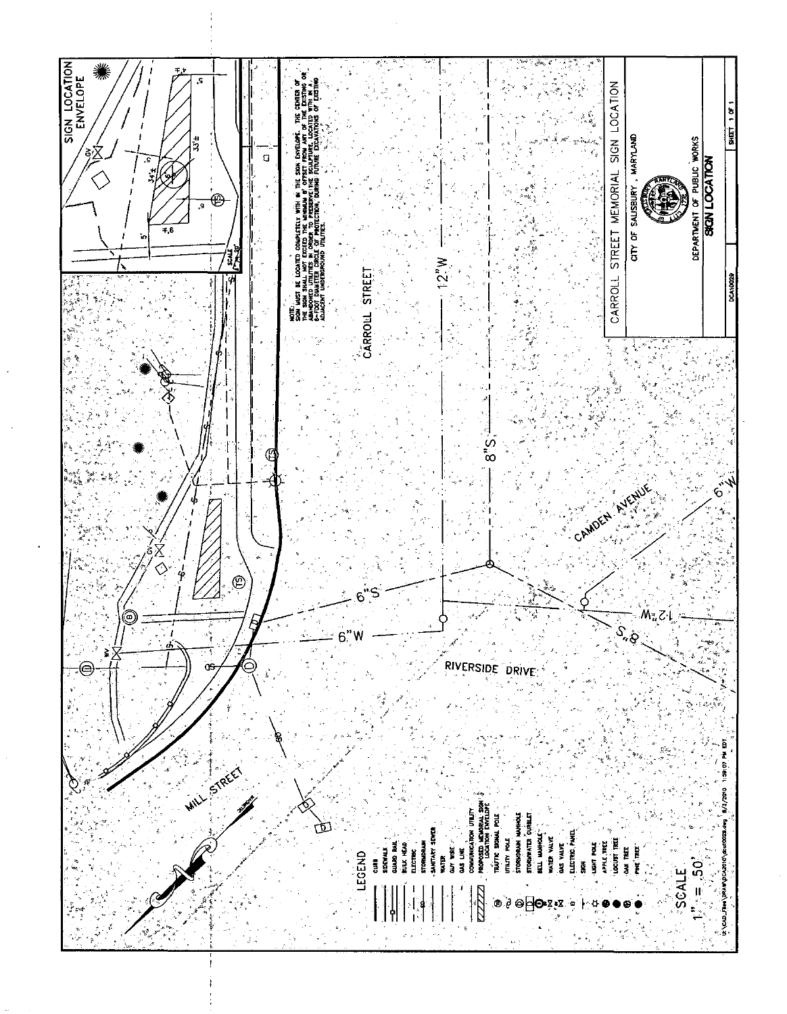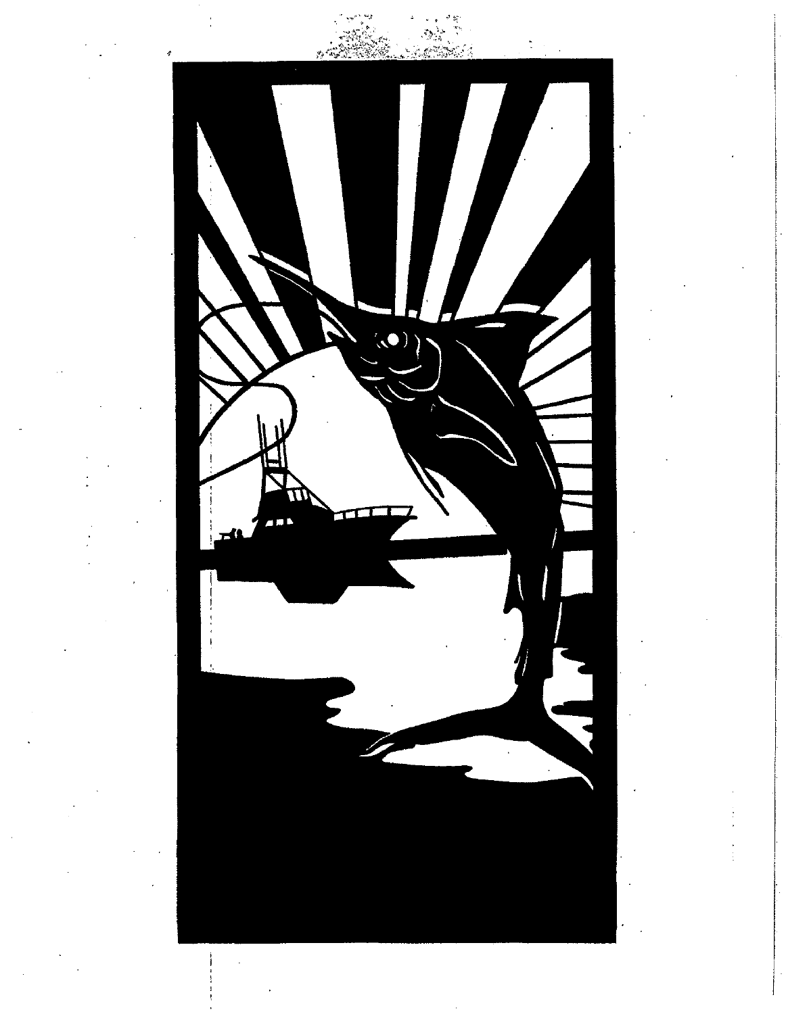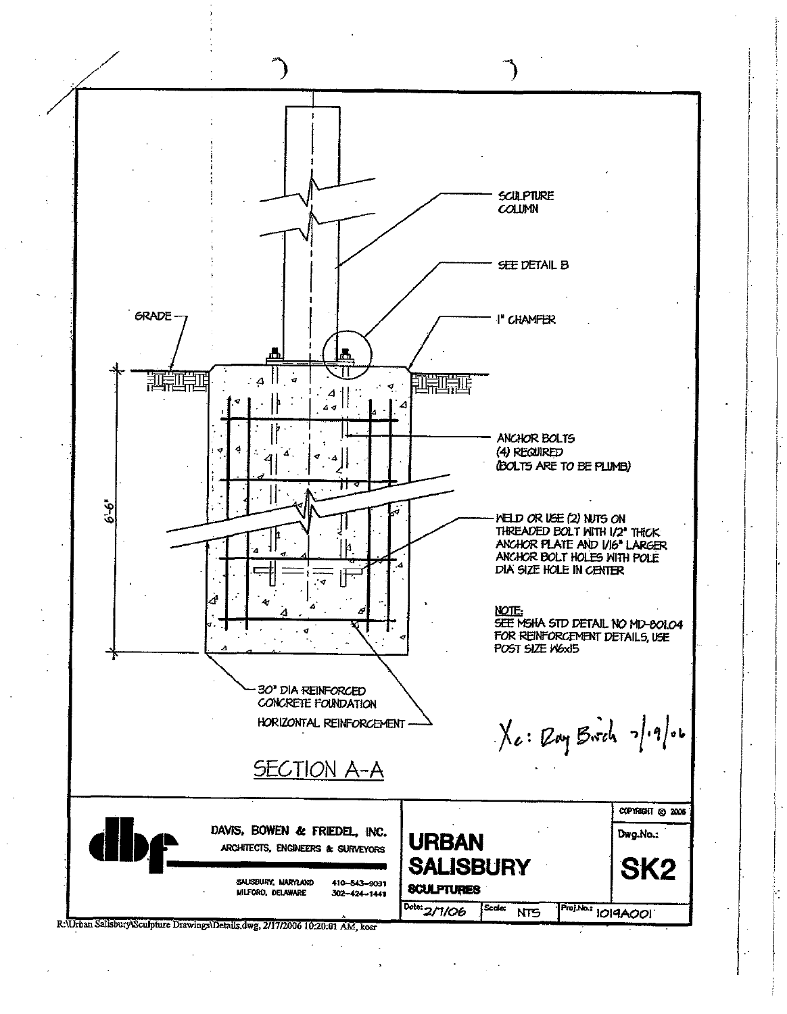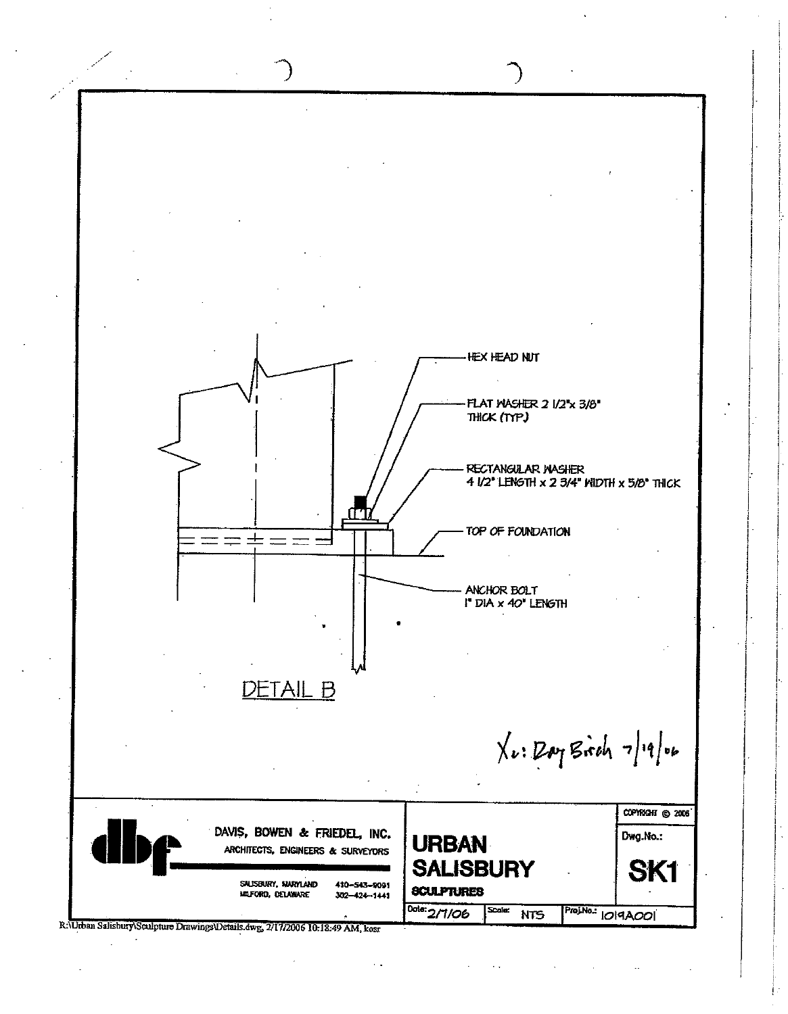HEX HEAD NUT FLAT WASHER 2 1/2"x 3/8" THICK (TYP) RECTANGULAR WASHER 4 1/2" LENGTH x 2 3/4" WIDTH x 5/8" THICK TOP OF FOUNDATION  $\equiv \; \equiv \; \pm$ ANCHOR BOLT I' DIA x 40' LENGTH DETAIL B  $X_{\nu}$ : Day Birch 7/19/06 COPYRIGHT @ 2006 DAVIS, BOWEN & FRIEDEL, INC. Dwg.No.: **URBAN** ARCHITECTS, ENGINEERS & SURVEYORS **SALISBURY** SK<sub>1</sub> SALISBURY, MARYLAND 410-543-9091 **SCULPTURES** MILFORD, DELAWARE  $302 - 424 - 1441$ Date: 2/1/06 Scale: NTS  $P<sub>rojNo.</sub>$   $|O|$ 9AOOI R:\Urban Salisbury\Sculpture Drawings\Details.dwg, 2/17/2006 10:18:49 AM, kosr